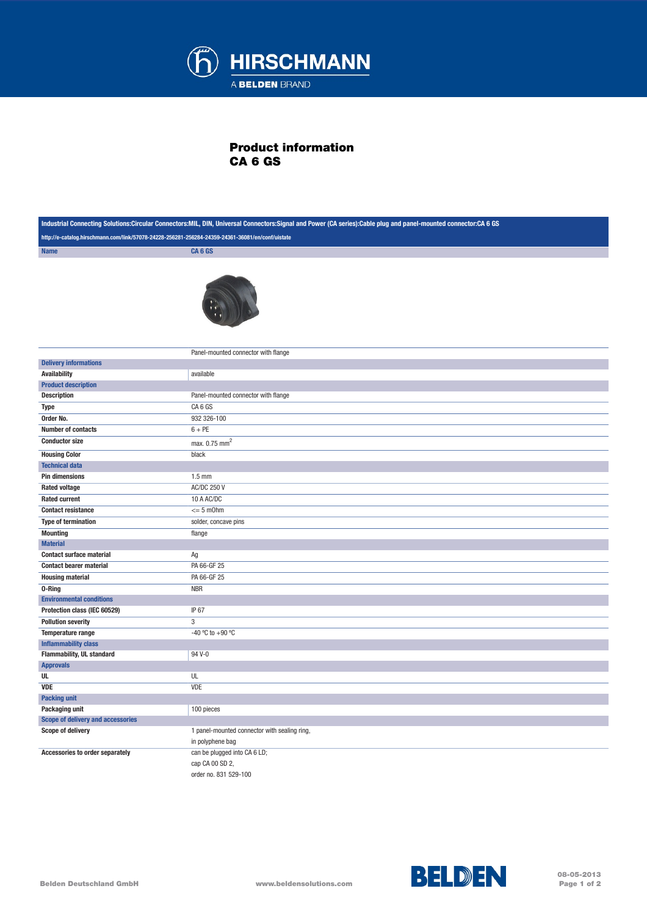

## Product information CA 6 GS

|                                                                                                  | Industrial Connecting Solutions:Circular Connectors:MIL, DIN, Universal Connectors:Signal and Power (CA series):Cable plug and panel-mounted connector:CA 6 GS |  |
|--------------------------------------------------------------------------------------------------|----------------------------------------------------------------------------------------------------------------------------------------------------------------|--|
| http://e-catalog.hirschmann.com/link/57078-24228-256281-256284-24359-24361-36081/en/conf/uistate |                                                                                                                                                                |  |
| <b>Name</b>                                                                                      | CA <sub>6</sub> GS                                                                                                                                             |  |
|                                                                                                  |                                                                                                                                                                |  |
|                                                                                                  | Panel-mounted connector with flange                                                                                                                            |  |
| <b>Delivery informations</b>                                                                     |                                                                                                                                                                |  |
| <b>Availability</b>                                                                              | available                                                                                                                                                      |  |
| <b>Product description</b>                                                                       |                                                                                                                                                                |  |
| <b>Description</b>                                                                               | Panel-mounted connector with flange                                                                                                                            |  |
| <b>Type</b>                                                                                      | CA6 GS                                                                                                                                                         |  |
| Order No.                                                                                        | 932 326-100                                                                                                                                                    |  |
| <b>Number of contacts</b>                                                                        | $6 + PE$                                                                                                                                                       |  |
| <b>Conductor size</b>                                                                            | max. 0.75 mm <sup>2</sup>                                                                                                                                      |  |
| <b>Housing Color</b>                                                                             | black                                                                                                                                                          |  |
| <b>Technical data</b>                                                                            |                                                                                                                                                                |  |
| <b>Pin dimensions</b>                                                                            | $1.5$ mm                                                                                                                                                       |  |
| <b>Rated voltage</b>                                                                             | <b>AC/DC 250 V</b>                                                                                                                                             |  |
| <b>Rated current</b>                                                                             | 10 A AC/DC                                                                                                                                                     |  |
| <b>Contact resistance</b>                                                                        | $= 5$ m $Ohm$                                                                                                                                                  |  |
| <b>Type of termination</b>                                                                       | solder, concave pins                                                                                                                                           |  |
| <b>Mounting</b>                                                                                  | flange                                                                                                                                                         |  |
| <b>Material</b>                                                                                  |                                                                                                                                                                |  |
| <b>Contact surface material</b>                                                                  | Ag                                                                                                                                                             |  |
| <b>Contact bearer material</b>                                                                   | PA 66-GF 25                                                                                                                                                    |  |
| <b>Housing material</b>                                                                          | PA 66-GF 25                                                                                                                                                    |  |
| 0-Ring                                                                                           | <b>NBR</b>                                                                                                                                                     |  |
| <b>Environmental conditions</b>                                                                  |                                                                                                                                                                |  |
| Protection class (IEC 60529)                                                                     | IP 67                                                                                                                                                          |  |
| <b>Pollution severity</b>                                                                        | $\overline{3}$                                                                                                                                                 |  |
| Temperature range                                                                                | -40 °C to +90 °C                                                                                                                                               |  |
| <b>Inflammability class</b>                                                                      |                                                                                                                                                                |  |
| Flammability, UL standard                                                                        | 94 V-0                                                                                                                                                         |  |
| <b>Approvals</b>                                                                                 |                                                                                                                                                                |  |
| UL                                                                                               | UL                                                                                                                                                             |  |
| <b>VDE</b>                                                                                       | VDE                                                                                                                                                            |  |
| <b>Packing unit</b>                                                                              |                                                                                                                                                                |  |
| Packaging unit                                                                                   | 100 pieces                                                                                                                                                     |  |
| Scope of delivery and accessories                                                                |                                                                                                                                                                |  |
| Scope of delivery                                                                                | 1 panel-mounted connector with sealing ring,                                                                                                                   |  |
|                                                                                                  | in polyphene bag                                                                                                                                               |  |
| Accessories to order separately                                                                  | can be plugged into CA 6 LD;<br>cap CA 00 SD 2,<br>order no. 831 529-100                                                                                       |  |